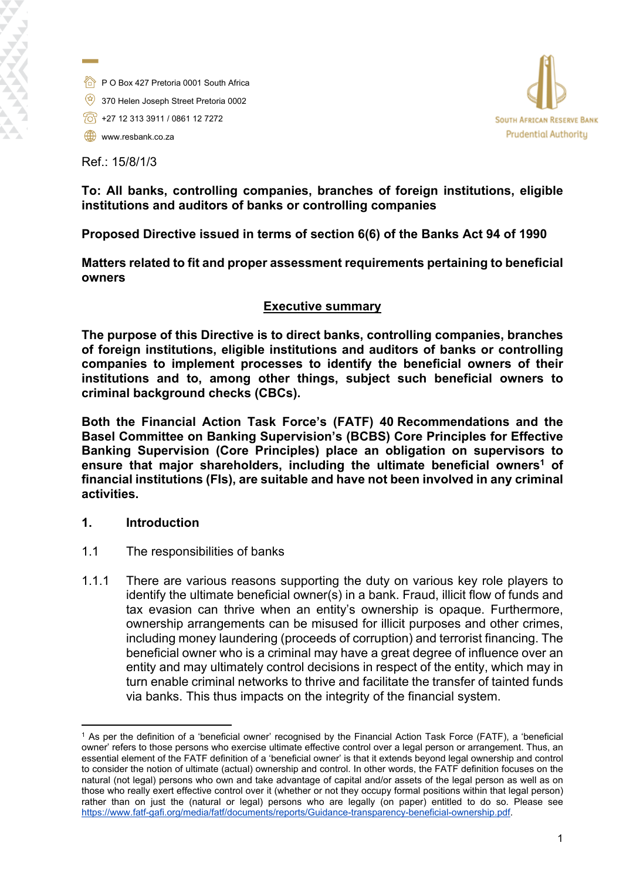- 
- P O Box 427 Pretoria 0001 South Africa
- $\qquad \qquad \qquad \qquad$  370 Helen Joseph Street Pretoria 0002
- $\sqrt{3}$  +27 12 313 3911 / 0861 12 7272
- www.resbank.co.za

Ref.: 15/8/1/3



## **To: All banks, controlling companies, branches of foreign institutions, eligible institutions and auditors of banks or controlling companies**

**Proposed Directive issued in terms of section 6(6) of the Banks Act 94 of 1990** 

**Matters related to fit and proper assessment requirements pertaining to beneficial owners** 

## **Executive summary**

**The purpose of this Directive is to direct banks, controlling companies, branches of foreign institutions, eligible institutions and auditors of banks or controlling companies to implement processes to identify the beneficial owners of their institutions and to, among other things, subject such beneficial owners to criminal background checks (CBCs).** 

**Both the Financial Action Task Force's (FATF) 40 Recommendations and the Basel Committee on Banking Supervision's (BCBS) Core Principles for Effective Banking Supervision (Core Principles) place an obligation on supervisors to ensure that major shareholders, including the ultimate beneficial owners<sup>1</sup> of financial institutions (FIs), are suitable and have not been involved in any criminal activities.**

## **1. Introduction**

- 1.1 The responsibilities of banks
- 1.1.1 There are various reasons supporting the duty on various key role players to identify the ultimate beneficial owner(s) in a bank. Fraud, illicit flow of funds and tax evasion can thrive when an entity's ownership is opaque. Furthermore, ownership arrangements can be misused for illicit purposes and other crimes, including money laundering (proceeds of corruption) and terrorist financing. The beneficial owner who is a criminal may have a great degree of influence over an entity and may ultimately control decisions in respect of the entity, which may in turn enable criminal networks to thrive and facilitate the transfer of tainted funds via banks. This thus impacts on the integrity of the financial system.

<sup>1</sup> As per the definition of a 'beneficial owner' recognised by the Financial Action Task Force (FATF), a 'beneficial owner' refers to those persons who exercise ultimate effective control over a legal person or arrangement. Thus, an essential element of the FATF definition of a 'beneficial owner' is that it extends beyond legal ownership and control to consider the notion of ultimate (actual) ownership and control. In other words, the FATF definition focuses on the natural (not legal) persons who own and take advantage of capital and/or assets of the legal person as well as on those who really exert effective control over it (whether or not they occupy formal positions within that legal person) rather than on just the (natural or legal) persons who are legally (on paper) entitled to do so. Please see [https://www.fatf-gafi.org/media/fatf/documents/reports/Guidance-transparency-beneficial-ownership.pdf.](https://www.fatf-gafi.org/media/fatf/documents/reports/Guidance-transparency-beneficial-ownership.pdf)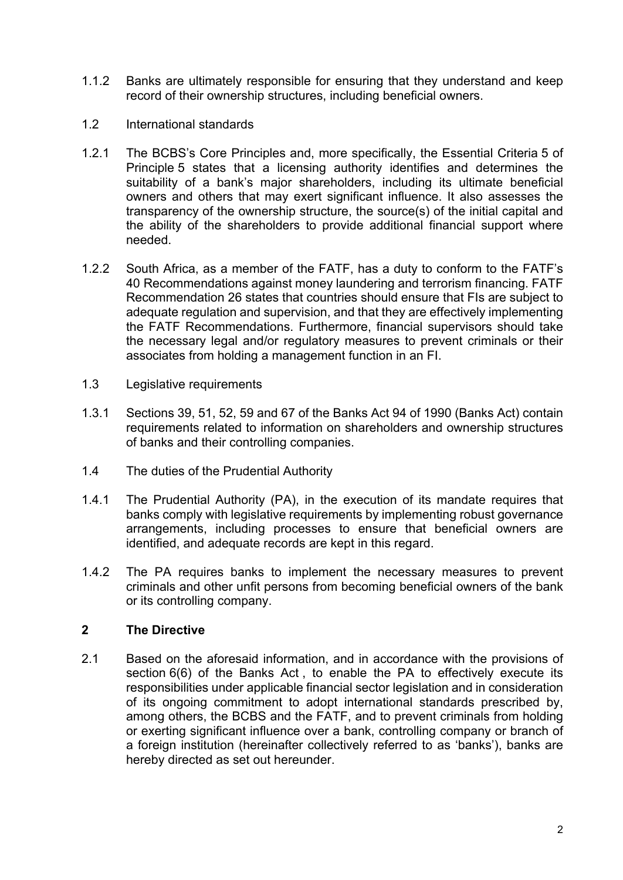- 1.1.2 Banks are ultimately responsible for ensuring that they understand and keep record of their ownership structures, including beneficial owners.
- 1.2 International standards
- 1.2.1 The BCBS's Core Principles and, more specifically, the Essential Criteria 5 of Principle 5 states that a licensing authority identifies and determines the suitability of a bank's major shareholders, including its ultimate beneficial owners and others that may exert significant influence. It also assesses the transparency of the ownership structure, the source(s) of the initial capital and the ability of the shareholders to provide additional financial support where needed.
- 1.2.2 South Africa, as a member of the FATF, has a duty to conform to the FATF's 40 Recommendations against money laundering and terrorism financing. FATF Recommendation 26 states that countries should ensure that FIs are subject to adequate regulation and supervision, and that they are effectively implementing the FATF Recommendations. Furthermore, financial supervisors should take the necessary legal and/or regulatory measures to prevent criminals or their associates from holding a management function in an FI.
- 1.3 Legislative requirements
- 1.3.1 Sections 39, 51, 52, 59 and 67 of the Banks Act 94 of 1990 (Banks Act) contain requirements related to information on shareholders and ownership structures of banks and their controlling companies.
- 1.4 The duties of the Prudential Authority
- 1.4.1 The Prudential Authority (PA), in the execution of its mandate requires that banks comply with legislative requirements by implementing robust governance arrangements, including processes to ensure that beneficial owners are identified, and adequate records are kept in this regard.
- 1.4.2 The PA requires banks to implement the necessary measures to prevent criminals and other unfit persons from becoming beneficial owners of the bank or its controlling company.

## **2 The Directive**

2.1 Based on the aforesaid information, and in accordance with the provisions of section 6(6) of the Banks Act, to enable the PA to effectively execute its responsibilities under applicable financial sector legislation and in consideration of its ongoing commitment to adopt international standards prescribed by, among others, the BCBS and the FATF, and to prevent criminals from holding or exerting significant influence over a bank, controlling company or branch of a foreign institution (hereinafter collectively referred to as 'banks'), banks are hereby directed as set out hereunder.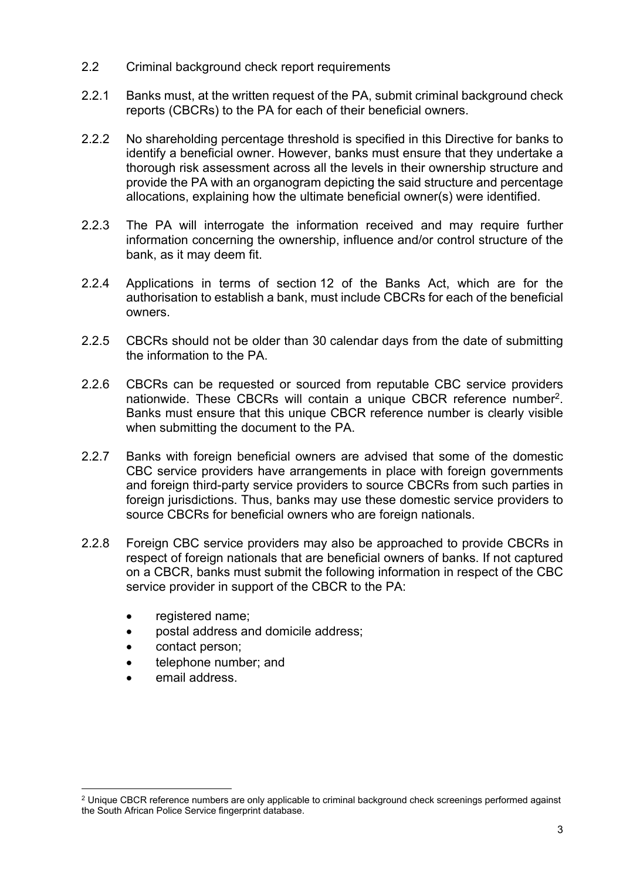- 2.2 Criminal background check report requirements
- 2.2.1 Banks must, at the written request of the PA, submit criminal background check reports (CBCRs) to the PA for each of their beneficial owners.
- 2.2.2 No shareholding percentage threshold is specified in this Directive for banks to identify a beneficial owner. However, banks must ensure that they undertake a thorough risk assessment across all the levels in their ownership structure and provide the PA with an organogram depicting the said structure and percentage allocations, explaining how the ultimate beneficial owner(s) were identified.
- 2.2.3 The PA will interrogate the information received and may require further information concerning the ownership, influence and/or control structure of the bank, as it may deem fit.
- 2.2.4 Applications in terms of section 12 of the Banks Act, which are for the authorisation to establish a bank, must include CBCRs for each of the beneficial owners.
- 2.2.5 CBCRs should not be older than 30 calendar days from the date of submitting the information to the PA.
- 2.2.6 CBCRs can be requested or sourced from reputable CBC service providers nationwide. These CBCRs will contain a unique CBCR reference number<sup>2</sup>. Banks must ensure that this unique CBCR reference number is clearly visible when submitting the document to the PA.
- 2.2.7 Banks with foreign beneficial owners are advised that some of the domestic CBC service providers have arrangements in place with foreign governments and foreign third-party service providers to source CBCRs from such parties in foreign jurisdictions. Thus, banks may use these domestic service providers to source CBCRs for beneficial owners who are foreign nationals.
- 2.2.8 Foreign CBC service providers may also be approached to provide CBCRs in respect of foreign nationals that are beneficial owners of banks. If not captured on a CBCR, banks must submit the following information in respect of the CBC service provider in support of the CBCR to the PA:
	- registered name;
	- postal address and domicile address;
	- contact person;
	- telephone number; and
	- email address.

 $^2$  Unique CBCR reference numbers are only applicable to criminal background check screenings performed against the South African Police Service fingerprint database.